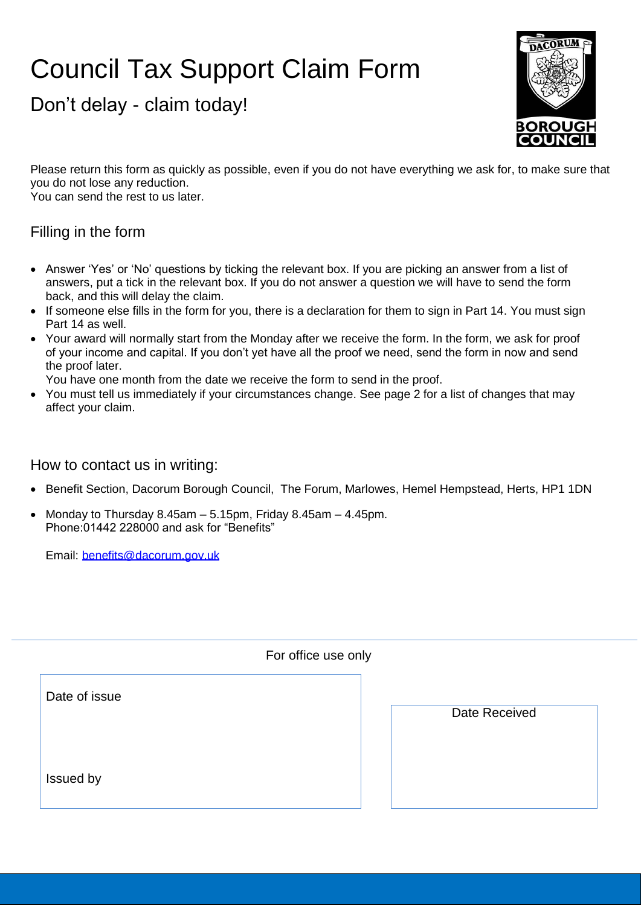# Council Tax Support Claim Form

Don't delay - claim today!



Please return this form as quickly as possible, even if you do not have everything we ask for, to make sure that you do not lose any reduction.

You can send the rest to us later.

#### Filling in the form

- · Answer 'Yes' or 'No' questions by ticking the relevant box. If you are picking an answer from a list of answers, put a tick in the relevant box. If you do not answer a question we will have to send the form back, and this will delay the claim.
- · If someone else fills in the form for you, there is a declaration for them to sign in Part 14. You must sign Part 14 as well.
- · Your award will normally start from the Monday after we receive the form. In the form, we ask for proof of your income and capital. If you don't yet have all the proof we need, send the form in now and send the proof later.

You have one month from the date we receive the form to send in the proof.

· You must tell us immediately if your circumstances change. See page 2 for a list of changes that may affect your claim.

#### How to contact us in writing:

- · Benefit Section, Dacorum Borough Council, The Forum, Marlowes, Hemel Hempstead, Herts, HP1 1DN
- Monday to Thursday 8.45am  $-$  5.15pm, Friday 8.45am  $-$  4.45pm. Phone:01442 228000 and ask for "Benefits"

Email: benefits@dacorum.gov.uk

|               | For office use only |               |
|---------------|---------------------|---------------|
| Date of issue |                     |               |
|               |                     | Date Received |
|               |                     |               |
| Issued by     |                     |               |
|               |                     |               |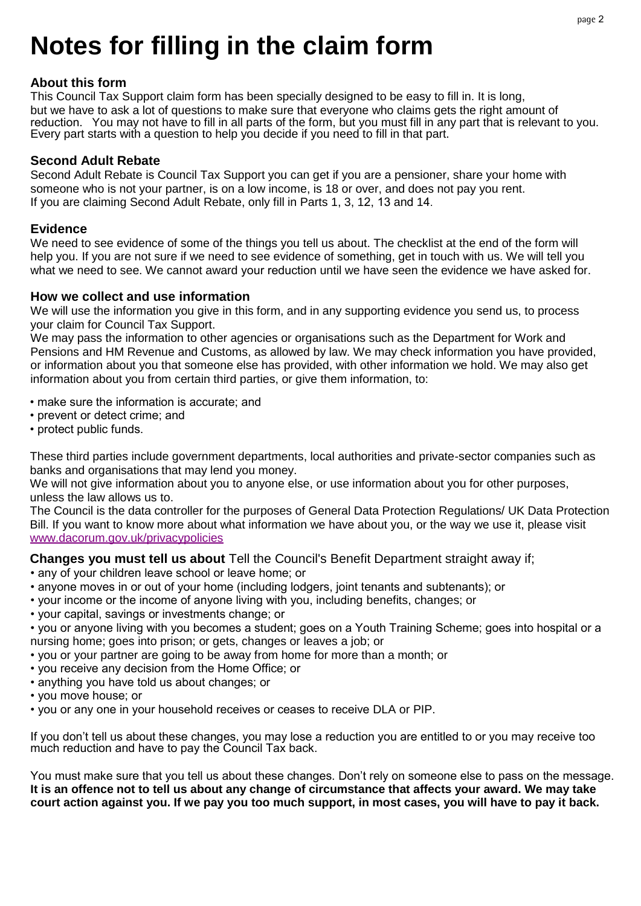# **Notes for filling in the claim form**

#### **About this form**

This Council Tax Support claim form has been specially designed to be easy to fill in. It is long, but we have to ask a lot of questions to make sure that everyone who claims gets the right amount of reduction. You may not have to fill in all parts of the form, but you must fill in any part that is relevant to you. Every part starts with a question to help you decide if you need to fill in that part.

#### **Second Adult Rebate**

Second Adult Rebate is Council Tax Support you can get if you are a pensioner, share your home with someone who is not your partner, is on a low income, is 18 or over, and does not pay you rent. If you are claiming Second Adult Rebate, only fill in Parts 1, 3, 12, 13 and 14.

#### **Evidence**

We need to see evidence of some of the things you tell us about. The checklist at the end of the form will help you. If you are not sure if we need to see evidence of something, get in touch with us. We will tell you what we need to see. We cannot award your reduction until we have seen the evidence we have asked for.

#### **How we collect and use information**

We will use the information you give in this form, and in any supporting evidence you send us, to process your claim for Council Tax Support.

We may pass the information to other agencies or organisations such as the Department for Work and Pensions and HM Revenue and Customs, as allowed by law. We may check information you have provided, or information about you that someone else has provided, with other information we hold. We may also get information about you from certain third parties, or give them information, to:

- make sure the information is accurate; and
- prevent or detect crime; and
- protect public funds.

These third parties include government departments, local authorities and private-sector companies such as banks and organisations that may lend you money.

We will not give information about you to anyone else, or use information about you for other purposes, unless the law allows us to.

The Council is the data controller for the purposes of General Data Protection Regulations/ UK Data Protection Bill. If you want to know more about what information we have about you, or the way we use it, please visit www.dacorum.gov.uk/privacypolicies

**Changes you must tell us about** Tell the Council's Benefit Department straight away if;

- any of your children leave school or leave home; or
- anyone moves in or out of your home (including lodgers, joint tenants and subtenants); or
- your income or the income of anyone living with you, including benefits, changes; or
- your capital, savings or investments change; or
- you or anyone living with you becomes a student; goes on a Youth Training Scheme; goes into hospital or a nursing home; goes into prison; or gets, changes or leaves a job; or
- you or your partner are going to be away from home for more than a month; or
- you receive any decision from the Home Office; or
- anything you have told us about changes; or
- you move house; or
- you or any one in your household receives or ceases to receive DLA or PIP.

If you don't tell us about these changes, you may lose a reduction you are entitled to or you may receive too much reduction and have to pay the Council Tax back.

You must make sure that you tell us about these changes. Don't rely on someone else to pass on the message. **It is an offence not to tell us about any change of circumstance that affects your award. We may take court action against you. If we pay you too much support, in most cases, you will have to pay it back.**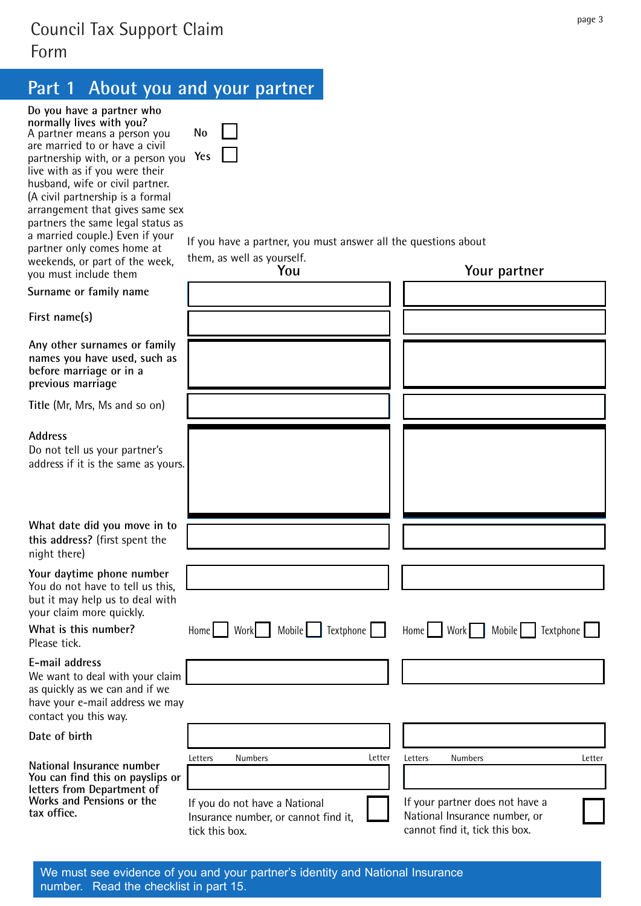## Council Tax Support Claim Form

## **Part 1 About you and your partner**

| Do you have a partner who<br>normally lives with you?<br>A partner means a person you<br>are married to or have a civil<br>partnership with, or a person you<br>live with as if you were their<br>husband, wife or civil partner.<br>(A civil partnership is a formal<br>arrangement that gives same sex<br>partners the same legal status as<br>a married couple.) Even if your<br>partner only comes home at | <b>No</b><br>Yes           | If you have a partner, you must answer all the questions about |         |                         |                  |
|----------------------------------------------------------------------------------------------------------------------------------------------------------------------------------------------------------------------------------------------------------------------------------------------------------------------------------------------------------------------------------------------------------------|----------------------------|----------------------------------------------------------------|---------|-------------------------|------------------|
| weekends, or part of the week,<br>you must include them                                                                                                                                                                                                                                                                                                                                                        | them, as well as yourself. | You                                                            |         | Your partner            |                  |
| Surname or family name                                                                                                                                                                                                                                                                                                                                                                                         |                            |                                                                |         |                         |                  |
| First name(s)                                                                                                                                                                                                                                                                                                                                                                                                  |                            |                                                                |         |                         |                  |
| Any other surnames or family<br>names you have used, such as<br>before marriage or in a<br>previous marriage                                                                                                                                                                                                                                                                                                   |                            |                                                                |         |                         |                  |
| Title (Mr, Mrs, Ms and so on)                                                                                                                                                                                                                                                                                                                                                                                  |                            |                                                                |         |                         |                  |
| <b>Address</b><br>Do not tell us your partner's<br>address if it is the same as yours.                                                                                                                                                                                                                                                                                                                         |                            |                                                                |         |                         |                  |
| What date did you move in to<br>this address? (first spent the<br>night there)                                                                                                                                                                                                                                                                                                                                 |                            |                                                                |         |                         |                  |
| Your daytime phone number<br>You do not have to tell us this,<br>but it may help us to deal with<br>your claim more quickly.                                                                                                                                                                                                                                                                                   |                            |                                                                |         |                         |                  |
| What is this number?<br>Please tick.                                                                                                                                                                                                                                                                                                                                                                           | Work  <br>Home             | Mobile Fextphone                                               |         | Home   Work  <br>Mobile | <b>Textphone</b> |
| E-mail address<br>We want to deal with your claim<br>as quickly as we can and if we<br>have your e-mail address we may<br>contact you this way.                                                                                                                                                                                                                                                                |                            |                                                                |         |                         |                  |
| Date of birth                                                                                                                                                                                                                                                                                                                                                                                                  |                            |                                                                |         |                         |                  |
| National Insurance number<br>You can find this on payslips or                                                                                                                                                                                                                                                                                                                                                  | Letters<br>Numbers         | Letter                                                         | Letters | Numbers                 | Letter           |

**letters from Department of Works and Pensions or the** If you do not have a National Insurance number, or cannot find it, tick this box. Cannot find it, tick this box.

ı

**tax office.**

| them, as well as yourself.<br>You | Your partner                                                        |
|-----------------------------------|---------------------------------------------------------------------|
|                                   |                                                                     |
|                                   |                                                                     |
|                                   |                                                                     |
|                                   |                                                                     |
|                                   |                                                                     |
|                                   |                                                                     |
|                                   |                                                                     |
|                                   |                                                                     |
|                                   |                                                                     |
|                                   |                                                                     |
|                                   |                                                                     |
|                                   |                                                                     |
|                                   |                                                                     |
|                                   |                                                                     |
|                                   | Home   Work   Mobile   Textphone   Home   Work   Mobile   Textphone |
|                                   |                                                                     |
|                                   |                                                                     |
|                                   |                                                                     |

If your partner does not have a National Insurance number, or

page 3

We must see evidence of you and your partner's identity and National Insurance number. Read the checklist in part 15.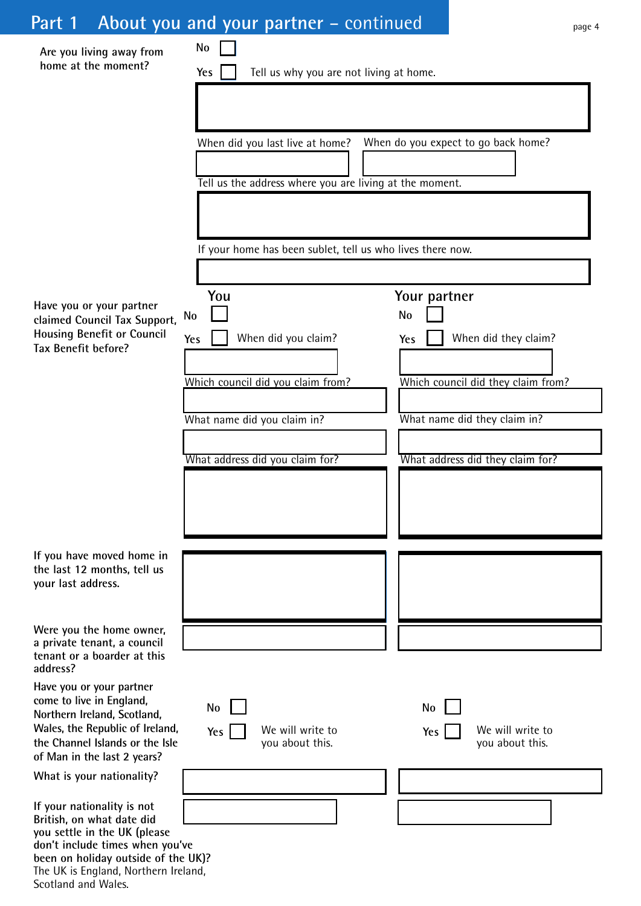# Part 1 About you and your partner – continued

| Are you living away from                                                                                                                                                                                                         | No                                                                                       |
|----------------------------------------------------------------------------------------------------------------------------------------------------------------------------------------------------------------------------------|------------------------------------------------------------------------------------------|
| home at the moment?                                                                                                                                                                                                              | Tell us why you are not living at home.<br>Yes                                           |
|                                                                                                                                                                                                                                  |                                                                                          |
|                                                                                                                                                                                                                                  | When do you expect to go back home?<br>When did you last live at home?                   |
|                                                                                                                                                                                                                                  |                                                                                          |
|                                                                                                                                                                                                                                  | Tell us the address where you are living at the moment.                                  |
|                                                                                                                                                                                                                                  | If your home has been sublet, tell us who lives there now.                               |
|                                                                                                                                                                                                                                  |                                                                                          |
| Have you or your partner<br>claimed Council Tax Support,                                                                                                                                                                         | You<br>Your partner<br><b>No</b><br>No                                                   |
| <b>Housing Benefit or Council</b><br>Tax Benefit before?                                                                                                                                                                         | When did you claim?<br>When did they claim?<br>Yes<br>Yes                                |
|                                                                                                                                                                                                                                  |                                                                                          |
|                                                                                                                                                                                                                                  | Which council did they claim from?<br>Which council did you claim from?                  |
|                                                                                                                                                                                                                                  | What name did they claim in?<br>What name did you claim in?                              |
|                                                                                                                                                                                                                                  |                                                                                          |
|                                                                                                                                                                                                                                  | What address did they claim for?<br>What address did you claim for?                      |
|                                                                                                                                                                                                                                  |                                                                                          |
|                                                                                                                                                                                                                                  |                                                                                          |
| If you have moved home in<br>the last 12 months, tell us<br>your last address.                                                                                                                                                   |                                                                                          |
| Were you the home owner,                                                                                                                                                                                                         |                                                                                          |
| a private tenant, a council<br>tenant or a boarder at this<br>address?                                                                                                                                                           |                                                                                          |
| Have you or your partner<br>come to live in England,<br>Northern Ireland, Scotland,                                                                                                                                              | <b>No</b><br>No                                                                          |
| Wales, the Republic of Ireland,<br>the Channel Islands or the Isle<br>of Man in the last 2 years?                                                                                                                                | We will write to<br>We will write to<br>Yes<br>Yes<br>you about this.<br>you about this. |
| What is your nationality?                                                                                                                                                                                                        |                                                                                          |
| If your nationality is not<br>British, on what date did<br>you settle in the UK (please<br>don't include times when you've<br>been on holiday outside of the UK)?<br>The UK is England, Northern Ireland,<br>Scotland and Wales. |                                                                                          |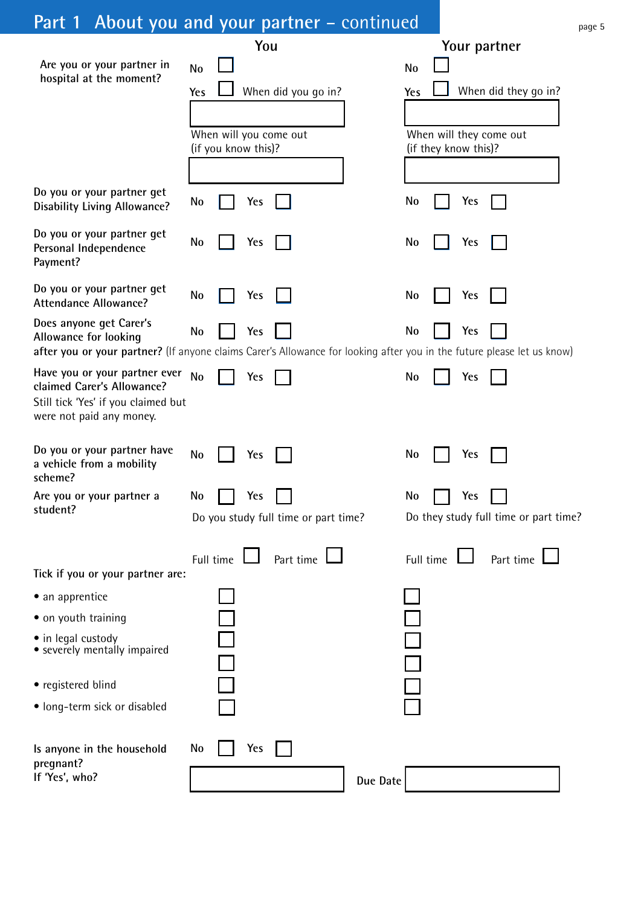# Part 1 About you and your partner – continued

|                                                                                                                                                                            | You                                  |           | Your partner                          |
|----------------------------------------------------------------------------------------------------------------------------------------------------------------------------|--------------------------------------|-----------|---------------------------------------|
| Are you or your partner in                                                                                                                                                 | <b>No</b>                            | <b>No</b> |                                       |
| hospital at the moment?                                                                                                                                                    | When did you go in?<br>Yes           |           | When did they go in?                  |
|                                                                                                                                                                            |                                      | Yes       |                                       |
|                                                                                                                                                                            | When will you come out               |           | When will they come out               |
|                                                                                                                                                                            | (if you know this)?                  |           | (if they know this)?                  |
|                                                                                                                                                                            |                                      |           |                                       |
| Do you or your partner get<br><b>Disability Living Allowance?</b>                                                                                                          | No<br>Yes                            | No        | Yes                                   |
| Do you or your partner get<br>Personal Independence<br>Payment?                                                                                                            | No<br>Yes                            | No        | Yes                                   |
| Do you or your partner get<br><b>Attendance Allowance?</b>                                                                                                                 | No<br>Yes                            | No        | Yes                                   |
| Does anyone get Carer's<br>Allowance for looking<br>after you or your partner? (If anyone claims Carer's Allowance for looking after you in the future please let us know) | No<br>Yes                            | <b>No</b> | Yes                                   |
| Have you or your partner ever<br>claimed Carer's Allowance?<br>Still tick 'Yes' if you claimed but<br>were not paid any money.                                             | <b>No</b><br><b>Yes</b>              | No        | Yes                                   |
| Do you or your partner have<br>a vehicle from a mobility<br>scheme?                                                                                                        | No<br>Yes                            | No        | Yes                                   |
| Are you or your partner a                                                                                                                                                  | No<br>Yes                            | <b>No</b> | Yes                                   |
| student?                                                                                                                                                                   | Do you study full time or part time? |           | Do they study full time or part time? |
| Tick if you or your partner are:                                                                                                                                           | Full time<br>Part time               | Full time | Part time                             |
| • an apprentice                                                                                                                                                            |                                      |           |                                       |
| • on youth training                                                                                                                                                        |                                      |           |                                       |
| • in legal custody<br>• severely mentally impaired                                                                                                                         |                                      |           |                                       |
| • registered blind                                                                                                                                                         |                                      |           |                                       |
| · long-term sick or disabled                                                                                                                                               |                                      |           |                                       |
| Is anyone in the household<br>pregnant?<br>If 'Yes', who?                                                                                                                  | No<br><b>Yes</b>                     | Due Date  |                                       |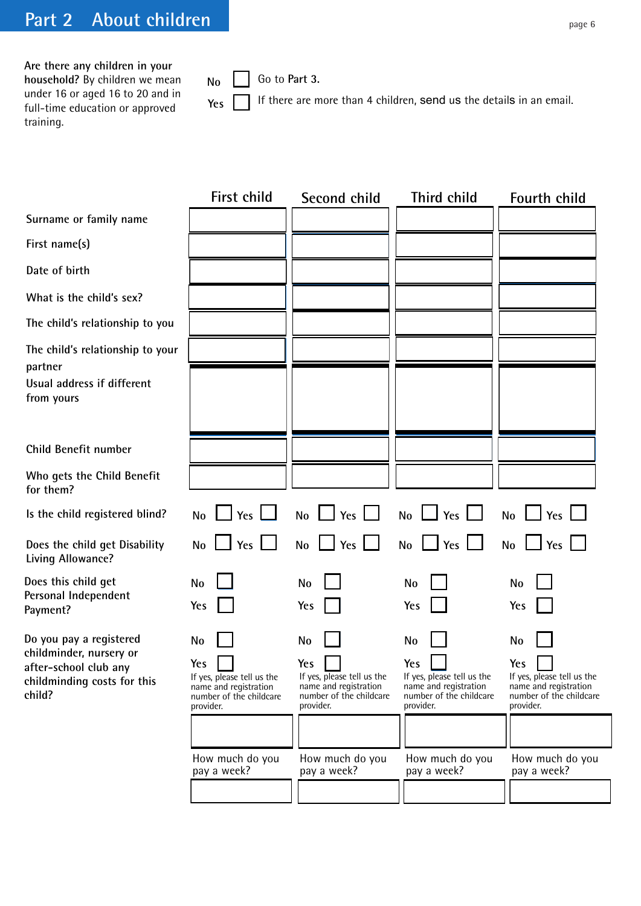**Are there any children in your household?** By children we mean under 16 or aged 16 to 20 and in full-time education or approved training.

**partner**

**child?**

 $N<sub>0</sub>$   $\Box$  Go to Part 3.

Yes **If** there are more than 4 children, send us the details in an email.

**First child Second child Third child Fourth child**  $N_0$   $\Box$   $Y$ es  $\Box$   $N_0$   $\Box$   $Y$ es  $\Box$   $Y_{\text{es}}$   $\Box$   $Y_{\text{es}}$   $\Box$   $Y_{\text{es}}$   $\Box$  $\Box$  **Yes**  $\Box$  **No**  $\Box$  **Yes**  $\Box$  **No**  $\Box$  **Yes**  $\Box$ **No No No No Yes Yes Yes Yes** If yes, please tell us the If yes, please tell us the If yes, please tell us the If yes, please tell us the name and registration name and registration name and registration ame and registration name and registration name and registration number of the childcare number of the childcare number of the childcare number of the childcare number of the childcare number or provider.<br>
provider provider provider. provider. provider. provider. provider. How much do you pay a week? How much do you pay a week? How much do you pay a week? **No No No No Yes Yes Yes Yes** How much do you pay a week? **£ £ £ Surname or family name First name(s) Date of birth What is the child's sex? The child's relationship to you The child's relationship to your Usual address if different from yours Child Benefit number Who gets the Child Benefit for them? Does the child get Disability Living Allowance? Is the child registered blind? No Does this child get Do you pay a registered childminder, nursery or after-school club any childminding costs for this Personal Independent Payment?**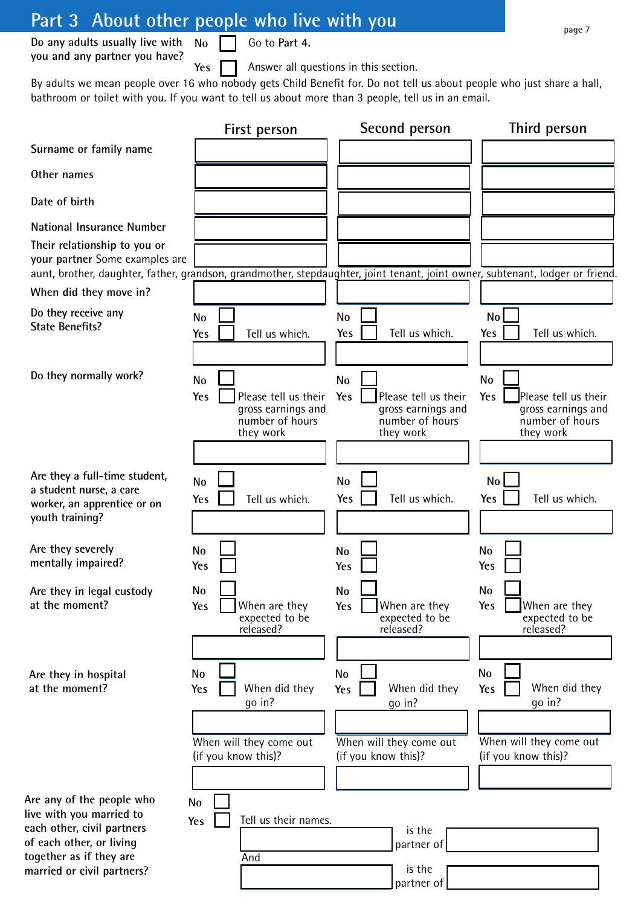## **Part 3 About other people who live with you**

**Yes**

**Do any adults usually live with No you and any partner you have?**

Go to **Part 4.**

Answer all questions in this section.

By adults we mean people over 16 who nobody gets Child Benefit for. Do not tell us about people who just share a hall, bathroom or toilet with you. If you want to tell us about more than 3 people, tell us in an email.

|                                                                                                                                                                                                 | First person                                                                                   | Second person                                                                                  | Third person                                                                                   |
|-------------------------------------------------------------------------------------------------------------------------------------------------------------------------------------------------|------------------------------------------------------------------------------------------------|------------------------------------------------------------------------------------------------|------------------------------------------------------------------------------------------------|
| Surname or family name                                                                                                                                                                          |                                                                                                |                                                                                                |                                                                                                |
| Other names                                                                                                                                                                                     |                                                                                                |                                                                                                |                                                                                                |
| Date of birth                                                                                                                                                                                   |                                                                                                |                                                                                                |                                                                                                |
| <b>National Insurance Number</b>                                                                                                                                                                |                                                                                                |                                                                                                |                                                                                                |
| Their relationship to you or<br>your partner Some examples are<br>aunt, brother, daughter, father, grandson, grandmother, stepdaughter, joint tenant, joint owner, subtenant, lodger or friend. |                                                                                                |                                                                                                |                                                                                                |
| When did they move in?                                                                                                                                                                          |                                                                                                |                                                                                                |                                                                                                |
| Do they receive any<br><b>State Benefits?</b>                                                                                                                                                   | <b>No</b><br>Tell us which.<br>Yes                                                             | <b>No</b><br>Yes<br>Tell us which.                                                             | No<br>Tell us which.<br>Yes                                                                    |
| Do they normally work?                                                                                                                                                                          | <b>No</b><br>Yes<br>Please tell us their<br>gross earnings and<br>number of hours<br>they work | <b>No</b><br>Yes<br>Please tell us their<br>gross earnings and<br>number of hours<br>they work | <b>No</b><br>Yes<br>Please tell us their<br>gross earnings and<br>number of hours<br>they work |
| Are they a full-time student,<br>a student nurse, a care<br>worker, an apprentice or on<br>youth training?                                                                                      | <b>No</b><br>Tell us which.<br>Yes                                                             | <b>No</b><br>Yes<br>Tell us which.                                                             | No <sub>1</sub><br>Yes<br>Tell us which.                                                       |
| Are they severely<br>mentally impaired?                                                                                                                                                         | <b>No</b><br>Yes                                                                               | No<br>Yes                                                                                      | <b>No</b><br>Yes                                                                               |
| Are they in legal custody<br>at the moment?                                                                                                                                                     | <b>No</b><br>When are they<br>Yes<br>expected to be<br>released?                               | No<br>When are they<br>Yes<br>expected to be<br>released?                                      | No<br>Yes<br>When are they<br>expected to be<br>released?                                      |
| Are they in hospital<br>at the moment?                                                                                                                                                          | No<br>When did they<br>Yes<br>go in?                                                           | <b>No</b><br>Yes<br>When did they<br>go in?                                                    | No<br>Yes<br>When did they<br>go in?                                                           |
| Are any of the people who                                                                                                                                                                       | When will they come out<br>(if you know this)?<br><b>No</b>                                    | When will they come out<br>(if you know this)?                                                 | When will they come out<br>(if you know this)?                                                 |
| live with you married to<br>each other, civil partners<br>of each other, or living<br>together as if they are<br>married or civil partners?                                                     | Tell us their names.<br>Yes<br>And                                                             | is the<br>partner of<br>is the<br>partner of                                                   |                                                                                                |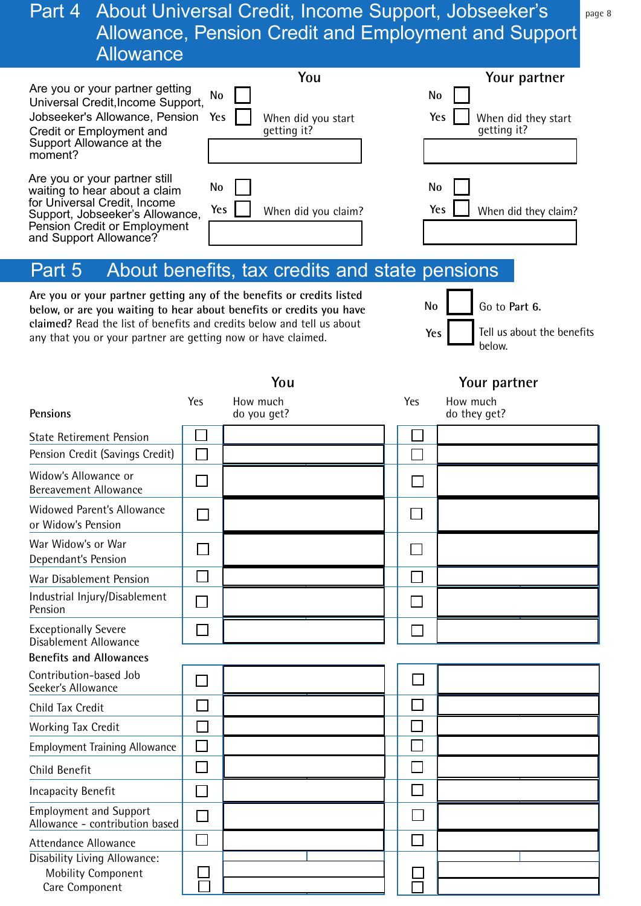#### Part 4 About Universal Credit, Income Support, Jobseeker's Allowance, Pension Credit and Employment and Support **Allowance**

| Are you or your partner getting<br>Universal Credit, Income Support,<br>Jobseeker's Allowance, Pension<br>Credit or Employment and<br>Support Allowance at the<br>moment?                          | You<br>No<br>Yes<br>When did you start<br>qetting it?                                                                                                                                                                   | Your partner<br>No<br>Yes<br>When did they start<br>qetting it?    |
|----------------------------------------------------------------------------------------------------------------------------------------------------------------------------------------------------|-------------------------------------------------------------------------------------------------------------------------------------------------------------------------------------------------------------------------|--------------------------------------------------------------------|
| Are you or your partner still<br>waiting to hear about a claim<br>for Universal Credit, Income<br>Support, Jobseeker's Allowance,<br><b>Pension Credit or Employment</b><br>and Support Allowance? | No<br>Yes<br>When did you claim?                                                                                                                                                                                        | No<br>Yes<br>When did they claim?                                  |
| Part 5                                                                                                                                                                                             | About benefits, tax credits and state pensions                                                                                                                                                                          |                                                                    |
| any that you or your partner are getting now or have claimed.                                                                                                                                      | Are you or your partner getting any of the benefits or credits listed<br>below, or are you waiting to hear about benefits or credits you have<br>claimed? Read the list of benefits and credits below and tell us about | No<br>Go to Part 6.<br>Tell us about the benefits<br>Yes<br>below. |
|                                                                                                                                                                                                    | You                                                                                                                                                                                                                     | Your partner                                                       |
| <b>Pensions</b>                                                                                                                                                                                    | Yes<br>How much<br>do you get?                                                                                                                                                                                          | Yes<br>How much<br>do they get?                                    |
|                                                                                                                                                                                                    |                                                                                                                                                                                                                         |                                                                    |

|                                                                             |                |  | ---- 1 |
|-----------------------------------------------------------------------------|----------------|--|--------|
| <b>State Retirement Pension</b>                                             |                |  |        |
| Pension Credit (Savings Credit)                                             | Г              |  |        |
| Widow's Allowance or<br><b>Bereavement Allowance</b>                        |                |  |        |
| <b>Widowed Parent's Allowance</b><br>or Widow's Pension                     |                |  |        |
| War Widow's or War<br>Dependant's Pension                                   |                |  |        |
| War Disablement Pension                                                     |                |  |        |
| Industrial Injury/Disablement<br>Pension                                    | h.             |  |        |
| <b>Exceptionally Severe</b><br>Disablement Allowance                        |                |  |        |
| <b>Benefits and Allowances</b>                                              |                |  |        |
| Contribution-based Job<br>Seeker's Allowance                                |                |  |        |
| Child Tax Credit                                                            |                |  |        |
| Working Tax Credit                                                          |                |  |        |
| <b>Employment Training Allowance</b>                                        | П              |  |        |
| Child Benefit                                                               |                |  |        |
| <b>Incapacity Benefit</b>                                                   | $\mathbb{R}^n$ |  |        |
| <b>Employment and Support</b><br>Allowance - contribution based             |                |  |        |
| Attendance Allowance                                                        | $\Box$         |  |        |
| Disability Living Allowance:<br><b>Mobility Component</b><br>Care Component |                |  |        |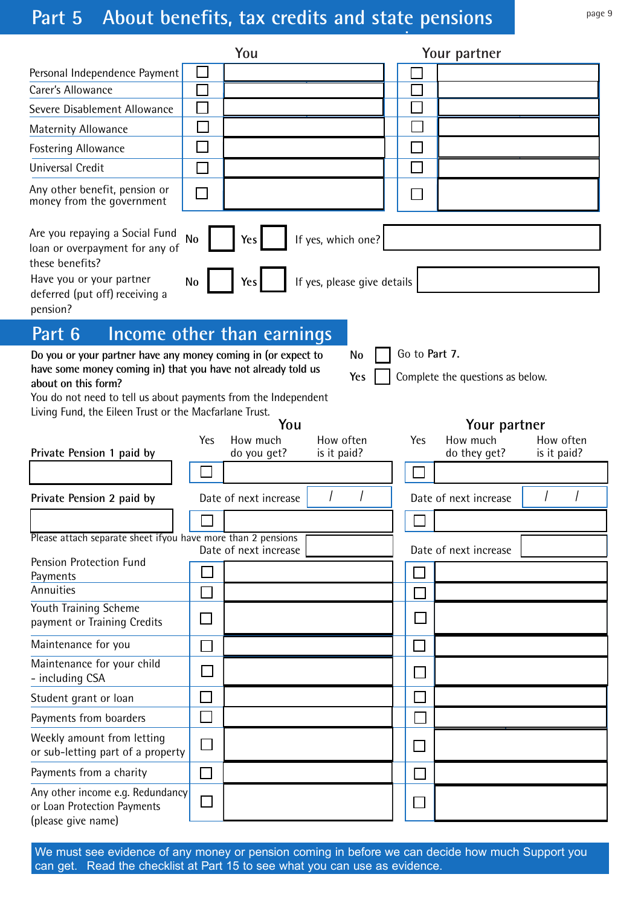# Part 5 About benefits, tax credits and state pensions page 9

|                                                                                                                                                                                                                                                                                  |                             | You                            |                             |                             | Your partner                             |                          |
|----------------------------------------------------------------------------------------------------------------------------------------------------------------------------------------------------------------------------------------------------------------------------------|-----------------------------|--------------------------------|-----------------------------|-----------------------------|------------------------------------------|--------------------------|
| Personal Independence Payment                                                                                                                                                                                                                                                    |                             |                                |                             |                             |                                          |                          |
| Carer's Allowance                                                                                                                                                                                                                                                                |                             |                                |                             |                             |                                          |                          |
| Severe Disablement Allowance                                                                                                                                                                                                                                                     |                             |                                |                             |                             |                                          |                          |
| Maternity Allowance                                                                                                                                                                                                                                                              |                             |                                |                             |                             |                                          |                          |
| Fostering Allowance                                                                                                                                                                                                                                                              |                             |                                |                             |                             |                                          |                          |
| <b>Universal Credit</b>                                                                                                                                                                                                                                                          |                             |                                |                             |                             |                                          |                          |
| Any other benefit, pension or<br>money from the government                                                                                                                                                                                                                       | $\mathbb{R}^2$              |                                |                             |                             |                                          |                          |
| Are you repaying a Social Fund<br>loan or overpayment for any of<br>these benefits?                                                                                                                                                                                              | No                          | Yes                            | If yes, which one?          |                             |                                          |                          |
| Have you or your partner<br>deferred (put off) receiving a<br>pension?                                                                                                                                                                                                           | No                          | Yes                            | If yes, please give details |                             |                                          |                          |
| Part 6                                                                                                                                                                                                                                                                           |                             | Income other than earnings     |                             |                             |                                          |                          |
| Do you or your partner have any money coming in (or expect to<br>have some money coming in) that you have not already told us<br>about on this form?<br>You do not need to tell us about payments from the Independent<br>Living Fund, the Eileen Trust or the Macfarlane Trust. |                             |                                | <b>No</b><br>Yes            | Go to Part 7.               | Complete the questions as below.         |                          |
| Private Pension 1 paid by                                                                                                                                                                                                                                                        | Yes                         | You<br>How much<br>do you get? | How often<br>is it paid?    | Yes                         | Your partner<br>How much<br>do they get? | How often<br>is it paid? |
|                                                                                                                                                                                                                                                                                  |                             |                                |                             |                             |                                          |                          |
| Private Pension 2 paid by                                                                                                                                                                                                                                                        |                             | Date of next increase          |                             |                             | Date of next increase                    |                          |
|                                                                                                                                                                                                                                                                                  |                             |                                |                             |                             |                                          |                          |
| Please attach separate sheet ifyou have more than 2 pensions                                                                                                                                                                                                                     |                             |                                |                             |                             |                                          |                          |
| Pension Protection Fund                                                                                                                                                                                                                                                          |                             | Date of next increase          |                             |                             | Date of next increase                    |                          |
| Payments                                                                                                                                                                                                                                                                         |                             |                                |                             |                             |                                          |                          |
| Annuities                                                                                                                                                                                                                                                                        |                             |                                |                             |                             |                                          |                          |
| Youth Training Scheme<br>payment or Training Credits                                                                                                                                                                                                                             |                             |                                |                             | $\mathcal{L}_{\mathcal{A}}$ |                                          |                          |
| Maintenance for you                                                                                                                                                                                                                                                              |                             |                                |                             |                             |                                          |                          |
| Maintenance for your child<br>- including CSA                                                                                                                                                                                                                                    | $\mathcal{L}_{\mathcal{A}}$ |                                |                             | $\sim$                      |                                          |                          |
| Student grant or loan                                                                                                                                                                                                                                                            | $\mathsf{L}$                |                                |                             | $\mathcal{L}_{\mathcal{A}}$ |                                          |                          |
| Payments from boarders                                                                                                                                                                                                                                                           | $\mathcal{L}_{\mathcal{A}}$ |                                |                             |                             |                                          |                          |
| Weekly amount from letting<br>or sub-letting part of a property                                                                                                                                                                                                                  |                             |                                |                             | $\Box$                      |                                          |                          |
| Payments from a charity                                                                                                                                                                                                                                                          | $\Box$                      |                                |                             | $\mathcal{L}_{\mathcal{A}}$ |                                          |                          |
| Any other income e.g. Redundancy<br>or Loan Protection Payments<br>(please give name)                                                                                                                                                                                            |                             |                                |                             |                             |                                          |                          |

We must see evidence of any money or pension coming in before we can decide how much Support you can get. Read the checklist at Part 15 to see what you can use as evidence.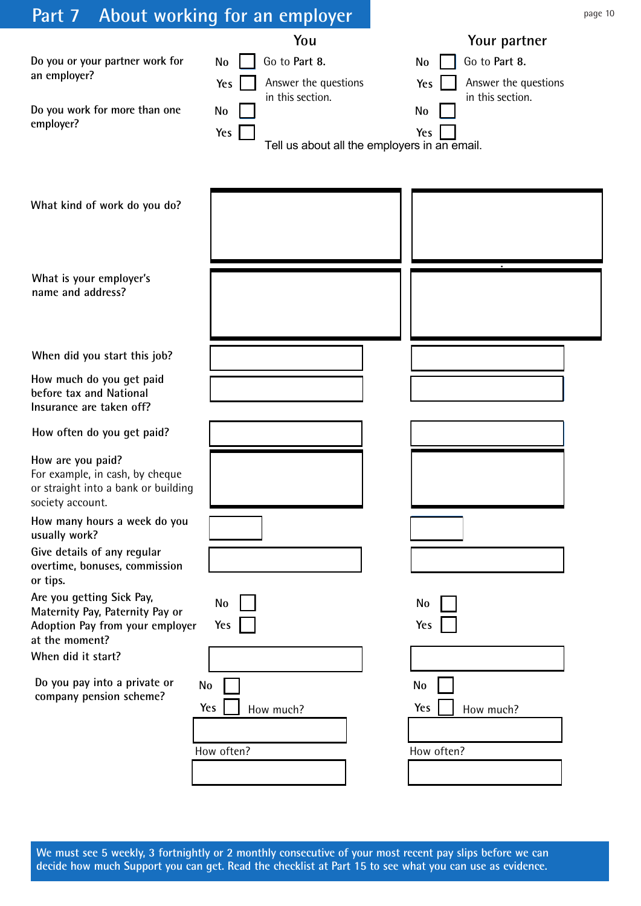| Part 7 About working for an employer                                                                              |                                                                                                   | page 10                                                                                                                                             |
|-------------------------------------------------------------------------------------------------------------------|---------------------------------------------------------------------------------------------------|-----------------------------------------------------------------------------------------------------------------------------------------------------|
| Do you or your partner work for<br>an employer?<br>Do you work for more than one<br>employer?                     | You<br>Go to Part 8.<br><b>No</b><br>Answer the questions<br>Yes<br>in this section.<br>No<br>Yes | Your partner<br>Go to Part 8.<br>No<br>Answer the questions<br>Yes<br>in this section.<br>No<br>Yes<br>Tell us about all the employers in an email. |
| What kind of work do you do?                                                                                      |                                                                                                   |                                                                                                                                                     |
| What is your employer's<br>name and address?                                                                      |                                                                                                   |                                                                                                                                                     |
| When did you start this job?                                                                                      |                                                                                                   |                                                                                                                                                     |
| How much do you get paid<br>before tax and National<br>Insurance are taken off?                                   |                                                                                                   |                                                                                                                                                     |
| How often do you get paid?                                                                                        |                                                                                                   |                                                                                                                                                     |
| How are you paid?<br>For example, in cash, by cheque<br>or straight into a bank or building<br>society account.   |                                                                                                   |                                                                                                                                                     |
| How many hours a week do you<br>usually work?                                                                     |                                                                                                   |                                                                                                                                                     |
| Give details of any regular<br>overtime, bonuses, commission<br>or tips.                                          |                                                                                                   |                                                                                                                                                     |
| Are you getting Sick Pay,<br>Maternity Pay, Paternity Pay or<br>Adoption Pay from your employer<br>at the moment? | No<br>Yes                                                                                         | <b>No</b><br>Yes                                                                                                                                    |
| When did it start?                                                                                                |                                                                                                   |                                                                                                                                                     |
| Do you pay into a private or<br>No<br>company pension scheme?                                                     | Yes<br>How much?<br>How often?                                                                    | No<br>Yes<br>How much?<br>How often?                                                                                                                |
|                                                                                                                   |                                                                                                   |                                                                                                                                                     |

**We must see 5 weekly, 3 fortnightly or 2 monthly consecutive of your most recent pay slips before we can decide how much Support you can get. Read the checklist at Part 15 to see what you can use as evidence.**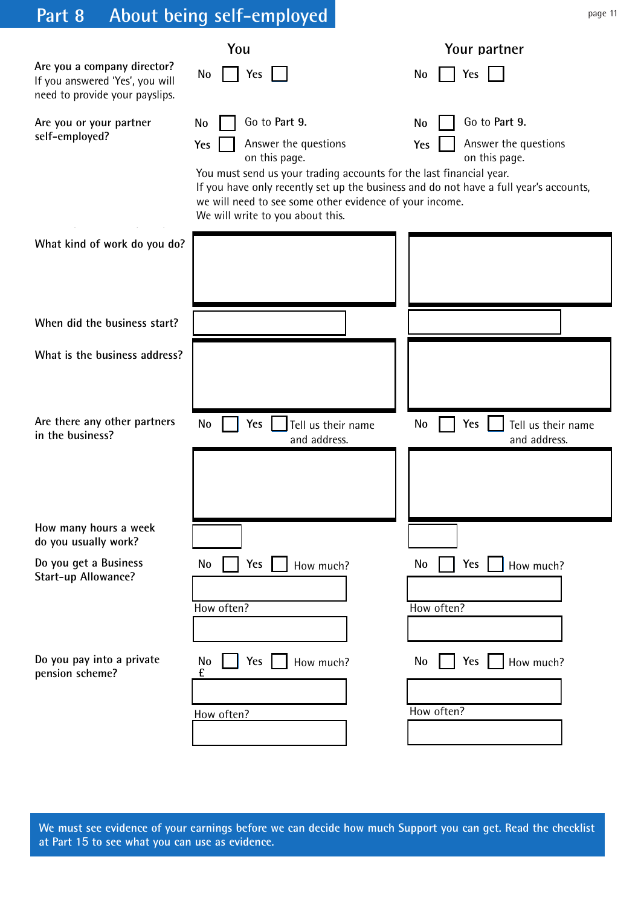# **Part 8 About being self-employed**

|                                                                                                  | You                                                                                                                                                                                                                                                                                                                                       | Your partner                                                        |
|--------------------------------------------------------------------------------------------------|-------------------------------------------------------------------------------------------------------------------------------------------------------------------------------------------------------------------------------------------------------------------------------------------------------------------------------------------|---------------------------------------------------------------------|
| Are you a company director?<br>If you answered 'Yes', you will<br>need to provide your payslips. | Yes<br>No                                                                                                                                                                                                                                                                                                                                 | No<br>Yes                                                           |
| Are you or your partner<br>self-employed?                                                        | Go to Part 9.<br><b>No</b><br>Answer the questions<br>Yes<br>on this page.<br>You must send us your trading accounts for the last financial year.<br>If you have only recently set up the business and do not have a full year's accounts,<br>we will need to see some other evidence of your income.<br>We will write to you about this. | Go to Part 9.<br>No<br>Answer the questions<br>Yes<br>on this page. |
| What kind of work do you do?                                                                     |                                                                                                                                                                                                                                                                                                                                           |                                                                     |
| When did the business start?                                                                     |                                                                                                                                                                                                                                                                                                                                           |                                                                     |
| What is the business address?                                                                    |                                                                                                                                                                                                                                                                                                                                           |                                                                     |
| Are there any other partners<br>in the business?                                                 | <b>No</b><br><b>Yes</b><br>Tell us their name<br>and address.                                                                                                                                                                                                                                                                             | Yes<br>No<br>Tell us their name<br>and address.                     |
| How many hours a week<br>do you usually work?                                                    |                                                                                                                                                                                                                                                                                                                                           |                                                                     |
| Do you get a Business<br>Start-up Allowance?                                                     | Yes<br>No<br>How much?<br>How often?                                                                                                                                                                                                                                                                                                      | Yes<br>No<br>How much?<br>How often?                                |
| Do you pay into a private<br>pension scheme?                                                     | <b>Yes</b><br>No<br>How much?<br>£<br>How often?                                                                                                                                                                                                                                                                                          | No<br>Yes<br>How much?<br>How often?                                |

**We must see evidence of your earnings before we can decide how much Support you can get. Read the checklist at Part 1**5 **to see what you can use as evidence.**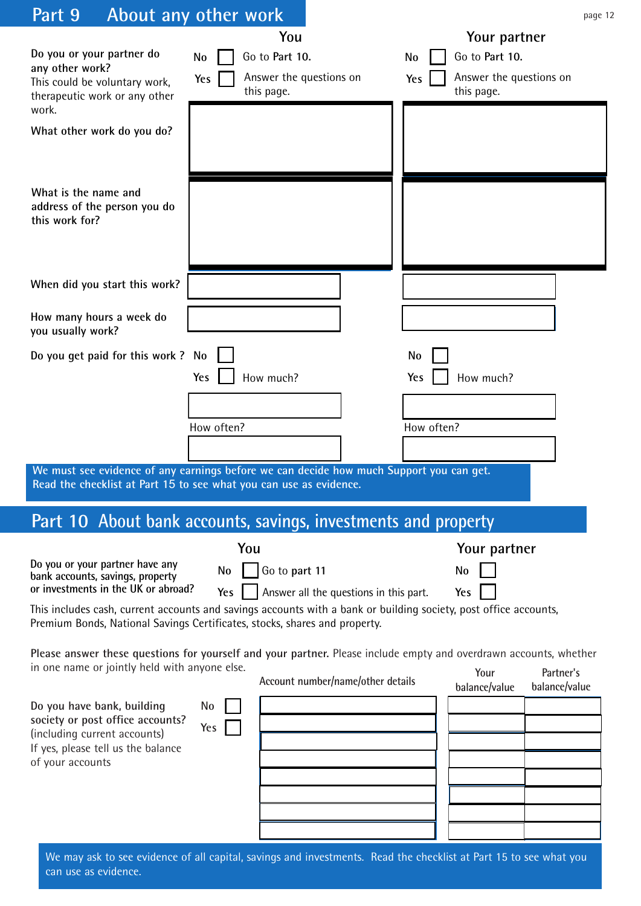| Part 9                                                                                                                                                   | About any other work                                                                                                                                                                           | page 12                                                                              |
|----------------------------------------------------------------------------------------------------------------------------------------------------------|------------------------------------------------------------------------------------------------------------------------------------------------------------------------------------------------|--------------------------------------------------------------------------------------|
| Do you or your partner do<br>any other work?<br>This could be voluntary work,<br>therapeutic work or any other<br>work.                                  | You<br>Go to Part 10.<br><b>No</b><br>Answer the questions on<br>Yes<br>this page.                                                                                                             | Your partner<br>Go to Part 10.<br>No<br>Answer the questions on<br>Yes<br>this page. |
| What other work do you do?                                                                                                                               |                                                                                                                                                                                                |                                                                                      |
| What is the name and<br>address of the person you do<br>this work for?                                                                                   |                                                                                                                                                                                                |                                                                                      |
| When did you start this work?                                                                                                                            |                                                                                                                                                                                                |                                                                                      |
| How many hours a week do<br>you usually work?                                                                                                            |                                                                                                                                                                                                |                                                                                      |
| Do you get paid for this work ? No                                                                                                                       |                                                                                                                                                                                                | No                                                                                   |
|                                                                                                                                                          | How much?<br>Yes                                                                                                                                                                               | How much?<br>Yes                                                                     |
|                                                                                                                                                          | How often?                                                                                                                                                                                     | How often?                                                                           |
|                                                                                                                                                          |                                                                                                                                                                                                |                                                                                      |
|                                                                                                                                                          | We must see evidence of any earnings before we can decide how much Support you can get.<br>Read the checklist at Part 15 to see what you can use as evidence.                                  |                                                                                      |
|                                                                                                                                                          | Part 10 About bank accounts, savings, investments and property                                                                                                                                 |                                                                                      |
|                                                                                                                                                          | You                                                                                                                                                                                            | Your partner                                                                         |
| Do you or your partner have any<br>bank accounts, savings, property<br>or investments in the UK or abroad?                                               | Go to part 11<br>No<br>Answer all the questions in this part.<br>Yes                                                                                                                           | No<br>Yes                                                                            |
|                                                                                                                                                          | This includes cash, current accounts and savings accounts with a bank or building society, post office accounts,<br>Premium Bonds, National Savings Certificates, stocks, shares and property. |                                                                                      |
| in one name or jointly held with anyone else.                                                                                                            | Please answer these questions for yourself and your partner. Please include empty and overdrawn accounts, whether<br>Account number/name/other details                                         | Partner's<br>Your                                                                    |
| Do you have bank, building<br>society or post office accounts?<br>(including current accounts)<br>If yes, please tell us the balance<br>of your accounts | <b>No</b><br>Yes                                                                                                                                                                               | balance/value<br>balance/value                                                       |
|                                                                                                                                                          |                                                                                                                                                                                                |                                                                                      |

We may ask to see evidence of all capital, savings and investments. Read the checklist at Part 15 to see what you can use as evidence.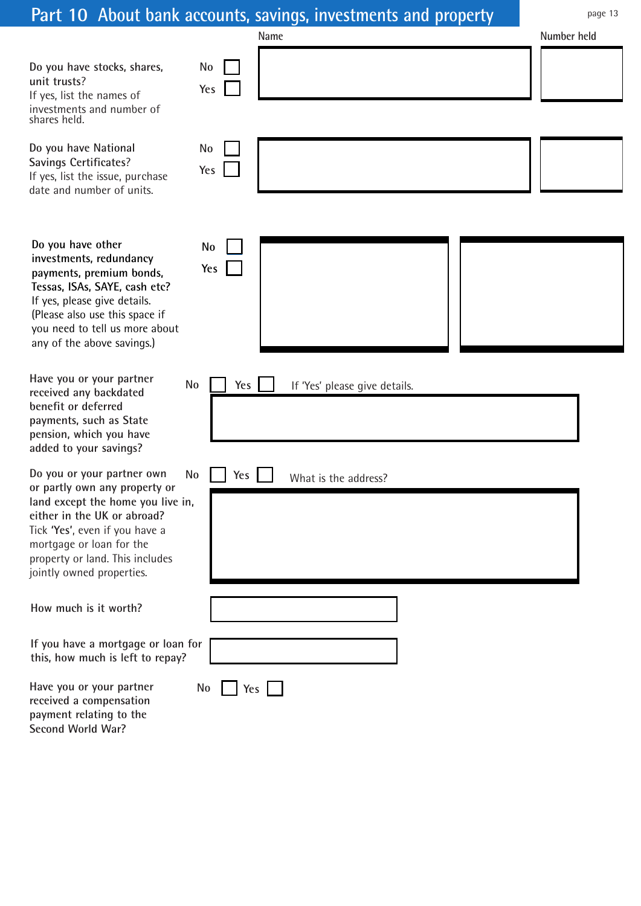|                                                                                                                                                                                                                                                               | Part 10 About bank accounts, savings, investments and property | page 13     |
|---------------------------------------------------------------------------------------------------------------------------------------------------------------------------------------------------------------------------------------------------------------|----------------------------------------------------------------|-------------|
|                                                                                                                                                                                                                                                               | Name                                                           | Number held |
| Do you have stocks, shares,<br>unit trusts?<br>If yes, list the names of<br>investments and number of<br>shares held.                                                                                                                                         | <b>No</b><br>Yes                                               |             |
| Do you have National<br>Savings Certificates?<br>If yes, list the issue, purchase<br>date and number of units.                                                                                                                                                | No<br>Yes                                                      |             |
| Do you have other<br>investments, redundancy<br>payments, premium bonds,<br>Tessas, ISAs, SAYE, cash etc?<br>If yes, please give details.<br>(Please also use this space if<br>you need to tell us more about<br>any of the above savings.)                   | <b>No</b><br>Yes                                               |             |
| Have you or your partner<br>received any backdated<br>benefit or deferred<br>payments, such as State<br>pension, which you have<br>added to your savings?                                                                                                     | <b>No</b><br>Yes<br>If 'Yes' please give details.              |             |
| Do you or your partner own<br>or partly own any property or<br>land except the home you live in,<br>either in the UK or abroad?<br>Tick 'Yes', even if you have a<br>mortgage or loan for the<br>property or land. This includes<br>jointly owned properties. | No<br>Yes<br>What is the address?                              |             |
| How much is it worth?                                                                                                                                                                                                                                         |                                                                |             |
| If you have a mortgage or loan for<br>this, how much is left to repay?                                                                                                                                                                                        |                                                                |             |
| Have you or your partner<br>received a compensation<br>payment relating to the                                                                                                                                                                                | No<br>Yes                                                      |             |

**payment relating to the Second World War?**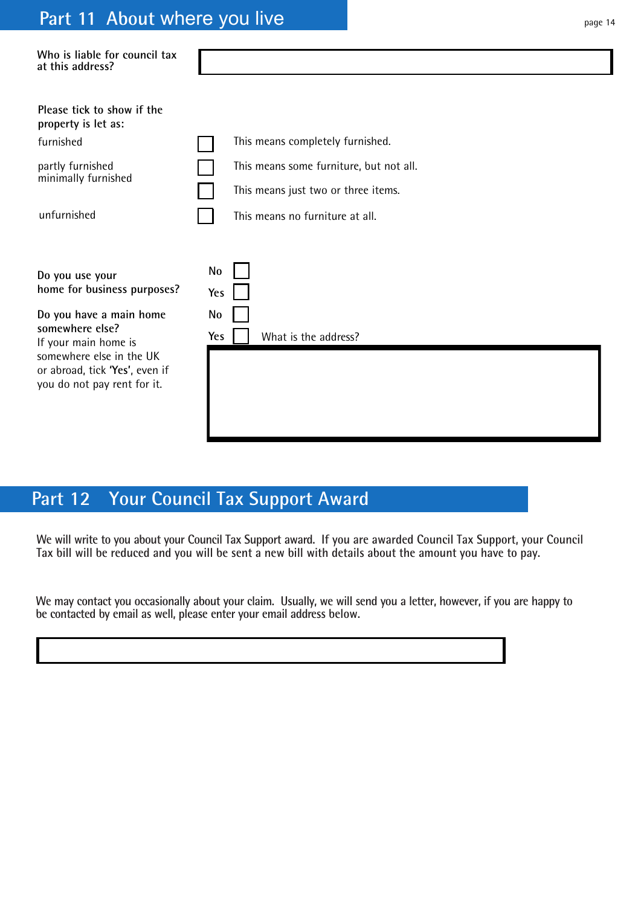## **Part 11 About where you live example 20 and 20 years 14 and 20 years 14**

| Who is liable for council tax<br>at this address?                                                                                                                                                                 |                                                                                                                                                       |
|-------------------------------------------------------------------------------------------------------------------------------------------------------------------------------------------------------------------|-------------------------------------------------------------------------------------------------------------------------------------------------------|
| Please tick to show if the<br>property is let as:<br>furnished<br>partly furnished<br>minimally furnished<br>unfurnished                                                                                          | This means completely furnished.<br>This means some furniture, but not all.<br>This means just two or three items.<br>This means no furniture at all. |
| Do you use your<br>home for business purposes?<br>Do you have a main home<br>somewhere else?<br>If your main home is<br>somewhere else in the UK<br>or abroad, tick 'Yes', even if<br>you do not pay rent for it. | <b>No</b><br>Yes<br>No<br>What is the address?<br>Yes                                                                                                 |

## **Part 12 Your Council Tax Support Award**

**We will write to you about your Council Tax Support award. If you are awarded Council Tax Support, your Council Tax bill will be reduced and you will be sent a new bill with details about the amount you have to pay.**

**We may contact you occasionally about your claim. Usually, we will send you a letter, however, if you are happy to be contacted by email as well, please enter your email address below.**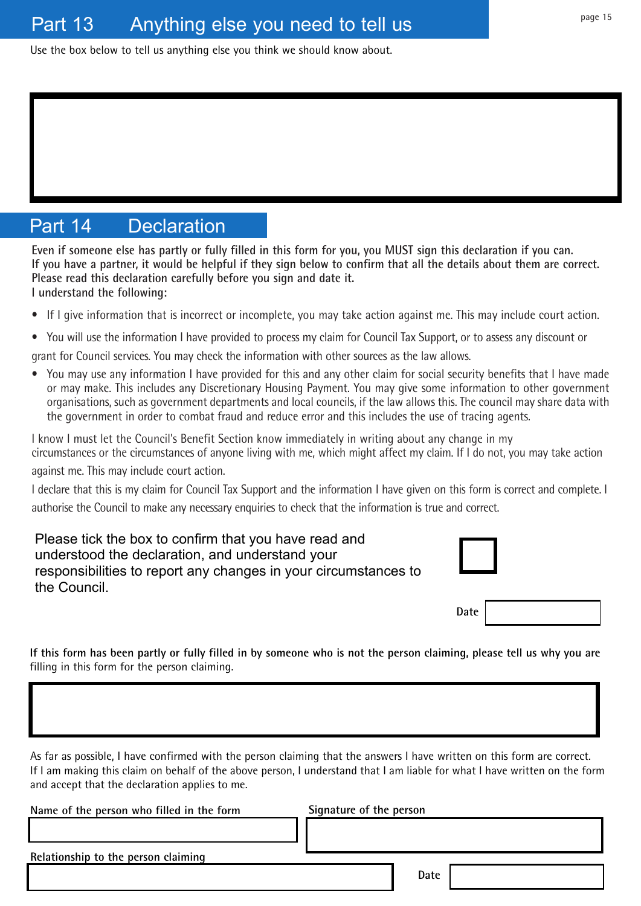Use the box below to tell us anything else you think we should know about.

## Part 14 Declaration

**Even if someone else has partly or fully filled in this form for you, you MUST sign this declaration if you can. If you have a partner, it would be helpful if they sign below to confirm that all the details about them are correct. Please read this declaration carefully before you sign and date it. I understand the following:**

- If I give information that is incorrect or incomplete, you may take action against me. This may include court action.
- You will use the information I have provided to process my claim for Council Tax Support, or to assess any discount or grant for Council services. You may check the information with other sources as the law allows.
- You may use any information I have provided for this and any other claim for social security benefits that I have made or may make. This includes any Discretionary Housing Payment. You may give some information to other government organisations, such as government departments and local councils, if the law allows this. The council may share data with the government in order to combat fraud and reduce error and this includes the use of tracing agents.

I know I must let the Council's Benefit Section know immediately in writing about any change in my circumstances or the circumstances of anyone living with me, which might affect my claim. If I do not, you may take action

against me. This may include court action.

I declare that this is my claim for Council Tax Support and the information I have given on this form is correct and complete. I authorise the Council to make any necessary enquiries to check that the information is true and correct.

Please tick the box to confirm that you have read and understood the declaration, and understand your responsibilities to report any changes in your circumstances to the Council.



Date

**If this form has been partly or fully filled in by someone who is not the person claiming, please tell us why you are** filling in this form for the person claiming.

As far as possible, I have confirmed with the person claiming that the answers I have written on this form are correct. If I am making this claim on behalf of the above person, I understand that I am liable for what I have written on the form and accept that the declaration applies to me.

**Name of the person who filled in the form Signature of the person Relationship to the person claiming Date**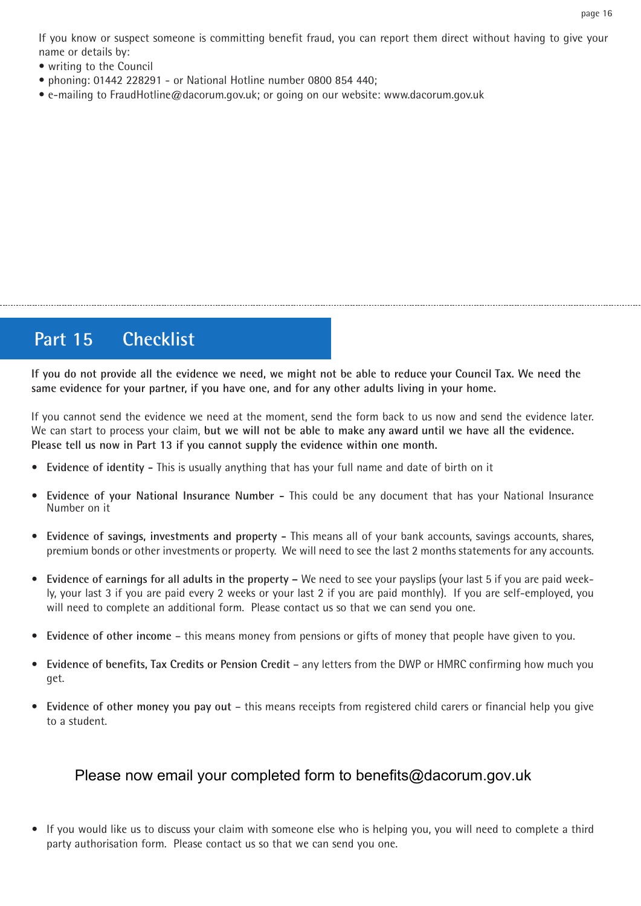If you know or suspect someone is committing benefit fraud, you can report them direct without having to give your name or details by:

- writing to the Council
- phoning: 01442 228291 or National Hotline number 0800 854 440;
- e-mailing to FraudHotline@dacorum.gov.uk; or going on our website: www.dacorum.gov.uk

## **Part 15 Checklist**

**If you do not provide all the evidence we need, we might not be able to reduce your Council Tax. We need the same evidence for your partner, if you have one, and for any other adults living in your home.**

If you cannot send the evidence we need at the moment, send the form back to us now and send the evidence later. We can start to process your claim, **but we will not be able to make any award until we have all the evidence. Please tell us now in Part 13 if you cannot supply the evidence within one month.**

- **Evidence of identity** This is usually anything that has your full name and date of birth on it
- **Evidence of your National Insurance Number** This could be any document that has your National Insurance Number on it
- **Evidence of savings, investments and property** This means all of your bank accounts, savings accounts, shares, premium bonds or other investments or property. We will need to see the last 2 months statements for any accounts.
- **Evidence of earnings for all adults in the property** We need to see your payslips (your last 5 if you are paid weekly, your last 3 if you are paid every 2 weeks or your last 2 if you are paid monthly). If you are self-employed, you will need to complete an additional form. Please contact us so that we can send you one.
- **Evidence of other income**  this means money from pensions or gifts of money that people have given to you.
- **Evidence of benefits, Tax Credits or Pension Credit**  any letters from the DWP or HMRC confirming how much you get.
- **Evidence of other money you pay out**  this means receipts from registered child carers or financial help you give to a student.

#### Please now email your completed form to benefits@dacorum.gov.uk

**•** If you would like us to discuss your claim with someone else who is helping you, you will need to complete a third party authorisation form. Please contact us so that we can send you one.